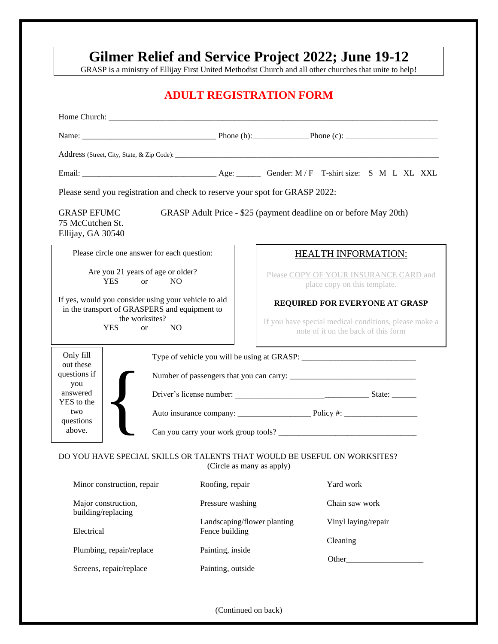# **Gilmer Relief and Service Project 2022; June 19-12**

GRASP is a ministry of Ellijay First United Methodist Church and all other churches that unite to help!

## **ADULT REGISTRATION FORM**

|                                                                                                                                                                          | Please send you registration and check to reserve your spot for GRASP 2022: |                                               |                                                                                              |  |
|--------------------------------------------------------------------------------------------------------------------------------------------------------------------------|-----------------------------------------------------------------------------|-----------------------------------------------|----------------------------------------------------------------------------------------------|--|
| <b>GRASP EFUMC</b><br>75 McCutchen St.<br>Ellijay, GA 30540                                                                                                              |                                                                             |                                               | GRASP Adult Price - \$25 (payment deadline on or before May 20th)                            |  |
|                                                                                                                                                                          | Please circle one answer for each question:                                 |                                               | <b>HEALTH INFORMATION:</b>                                                                   |  |
| Are you 21 years of age or older?<br><b>YES</b><br>N <sub>O</sub><br><b>or</b>                                                                                           |                                                                             |                                               | Please COPY OF YOUR INSURANCE CARD and<br>place copy on this template.                       |  |
| If yes, would you consider using your vehicle to aid<br>in the transport of GRASPERS and equipment to<br>the worksites?<br><b>YES</b><br>N <sub>O</sub><br><sub>or</sub> |                                                                             |                                               | REQUIRED FOR EVERYONE AT GRASP                                                               |  |
|                                                                                                                                                                          |                                                                             |                                               | If you have special medical conditions, please make a<br>note of it on the back of this form |  |
| Only fill<br>out these<br>questions if<br>you                                                                                                                            |                                                                             |                                               |                                                                                              |  |
| answered<br>YES to the                                                                                                                                                   |                                                                             |                                               |                                                                                              |  |
| two<br>questions                                                                                                                                                         |                                                                             |                                               |                                                                                              |  |
| above.                                                                                                                                                                   |                                                                             |                                               |                                                                                              |  |
|                                                                                                                                                                          |                                                                             | (Circle as many as apply)                     | DO YOU HAVE SPECIAL SKILLS OR TALENTS THAT WOULD BE USEFUL ON WORKSITES?                     |  |
| Minor construction, repair                                                                                                                                               |                                                                             | Roofing, repair                               | Yard work                                                                                    |  |
| Major construction,                                                                                                                                                      |                                                                             | Pressure washing                              | Chain saw work                                                                               |  |
| building/replacing                                                                                                                                                       |                                                                             | Landscaping/flower planting<br>Fence building | Vinyl laying/repair                                                                          |  |
| Electrical<br>Plumbing, repair/replace                                                                                                                                   |                                                                             | Painting, inside                              | Cleaning                                                                                     |  |
| Screens, repair/replace                                                                                                                                                  |                                                                             | Painting, outside                             | Other                                                                                        |  |
|                                                                                                                                                                          |                                                                             |                                               |                                                                                              |  |
|                                                                                                                                                                          |                                                                             | (Continued on back)                           |                                                                                              |  |